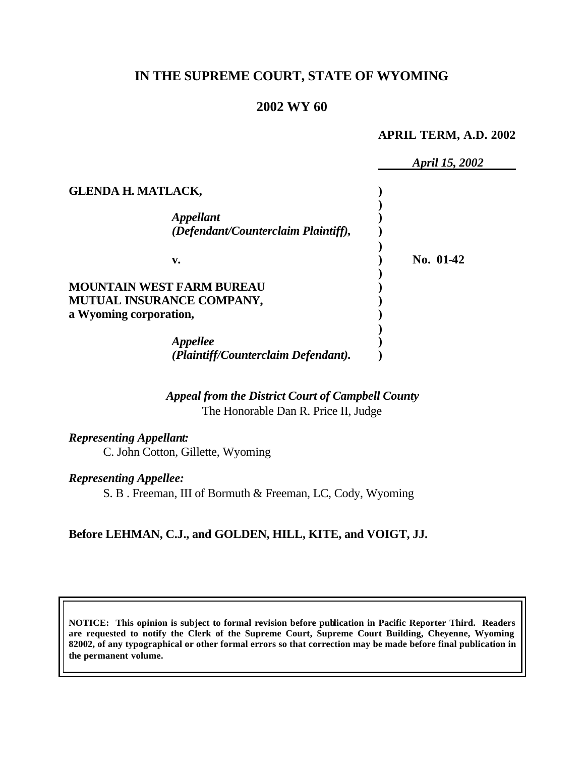# **IN THE SUPREME COURT, STATE OF WYOMING**

## **2002 WY 60**

#### **APRIL TERM, A.D. 2002**

|                                  |                                                                | April 15, 2002 |
|----------------------------------|----------------------------------------------------------------|----------------|
| <b>GLENDA H. MATLACK,</b>        |                                                                |                |
|                                  | <i><b>Appellant</b></i><br>(Defendant/Counterclaim Plaintiff), |                |
| v.                               |                                                                | No. 01-42      |
| <b>MOUNTAIN WEST FARM BUREAU</b> |                                                                |                |
| MUTUAL INSURANCE COMPANY,        |                                                                |                |
| a Wyoming corporation,           |                                                                |                |
|                                  | Appellee                                                       |                |
|                                  | (Plaintiff/Counterclaim Defendant).                            |                |

*Appeal from the District Court of Campbell County* The Honorable Dan R. Price II, Judge

*Representing Appellant:* C. John Cotton, Gillette, Wyoming

*Representing Appellee:*

S. B . Freeman, III of Bormuth & Freeman, LC, Cody, Wyoming

## **Before LEHMAN, C.J., and GOLDEN, HILL, KITE, and VOIGT, JJ.**

**NOTICE: This opinion is subject to formal revision before publication in Pacific Reporter Third. Readers are requested to notify the Clerk of the Supreme Court, Supreme Court Building, Cheyenne, Wyoming 82002, of any typographical or other formal errors so that correction may be made before final publication in the permanent volume.**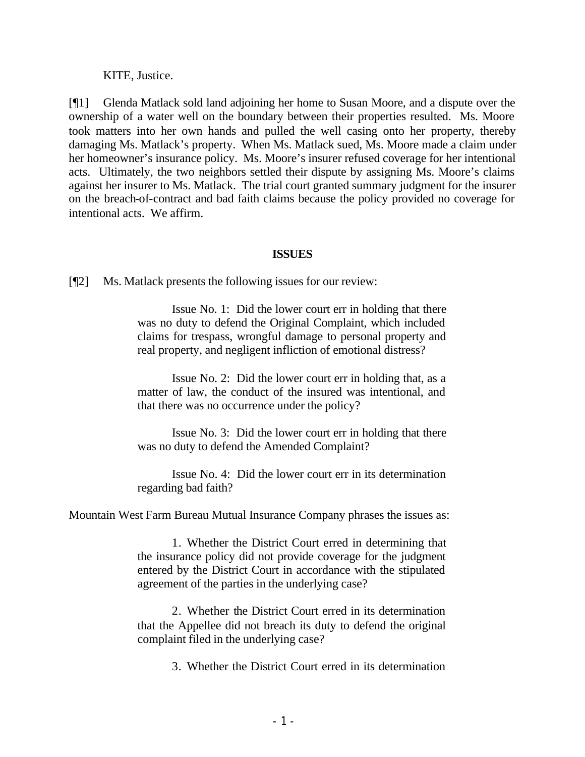#### KITE, Justice.

[¶1] Glenda Matlack sold land adjoining her home to Susan Moore, and a dispute over the ownership of a water well on the boundary between their properties resulted. Ms. Moore took matters into her own hands and pulled the well casing onto her property, thereby damaging Ms. Matlack's property. When Ms. Matlack sued, Ms. Moore made a claim under her homeowner's insurance policy. Ms. Moore's insurer refused coverage for her intentional acts. Ultimately, the two neighbors settled their dispute by assigning Ms. Moore's claims against her insurer to Ms. Matlack. The trial court granted summary judgment for the insurer on the breach-of-contract and bad faith claims because the policy provided no coverage for intentional acts. We affirm.

### **ISSUES**

[¶2] Ms. Matlack presents the following issues for our review:

Issue No. 1: Did the lower court err in holding that there was no duty to defend the Original Complaint, which included claims for trespass, wrongful damage to personal property and real property, and negligent infliction of emotional distress?

Issue No. 2: Did the lower court err in holding that, as a matter of law, the conduct of the insured was intentional, and that there was no occurrence under the policy?

Issue No. 3: Did the lower court err in holding that there was no duty to defend the Amended Complaint?

Issue No. 4: Did the lower court err in its determination regarding bad faith?

Mountain West Farm Bureau Mutual Insurance Company phrases the issues as:

1. Whether the District Court erred in determining that the insurance policy did not provide coverage for the judgment entered by the District Court in accordance with the stipulated agreement of the parties in the underlying case?

2. Whether the District Court erred in its determination that the Appellee did not breach its duty to defend the original complaint filed in the underlying case?

3. Whether the District Court erred in its determination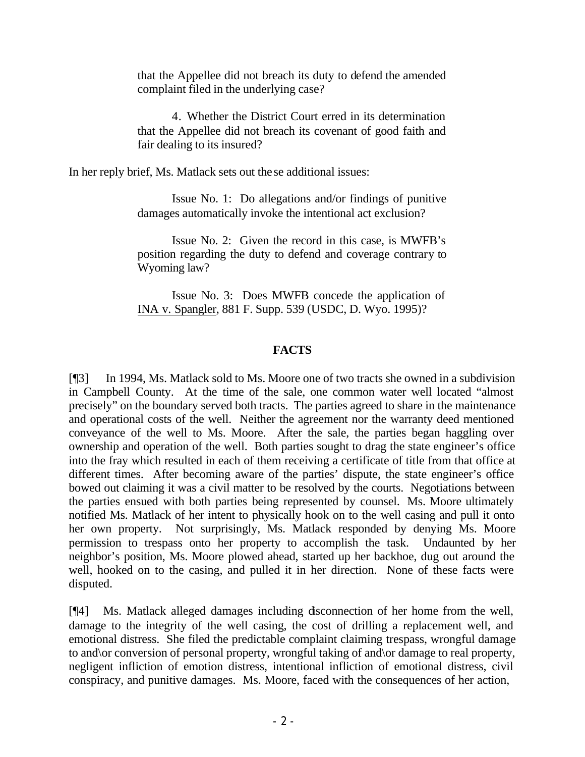that the Appellee did not breach its duty to defend the amended complaint filed in the underlying case?

4. Whether the District Court erred in its determination that the Appellee did not breach its covenant of good faith and fair dealing to its insured?

In her reply brief, Ms. Matlack sets out these additional issues:

Issue No. 1: Do allegations and/or findings of punitive damages automatically invoke the intentional act exclusion?

Issue No. 2: Given the record in this case, is MWFB's position regarding the duty to defend and coverage contrary to Wyoming law?

Issue No. 3: Does MWFB concede the application of INA v. Spangler, 881 F. Supp. 539 (USDC, D. Wyo. 1995)?

## **FACTS**

[¶3] In 1994, Ms. Matlack sold to Ms. Moore one of two tracts she owned in a subdivision in Campbell County. At the time of the sale, one common water well located "almost precisely" on the boundary served both tracts. The parties agreed to share in the maintenance and operational costs of the well. Neither the agreement nor the warranty deed mentioned conveyance of the well to Ms. Moore. After the sale, the parties began haggling over ownership and operation of the well. Both parties sought to drag the state engineer's office into the fray which resulted in each of them receiving a certificate of title from that office at different times. After becoming aware of the parties' dispute, the state engineer's office bowed out claiming it was a civil matter to be resolved by the courts. Negotiations between the parties ensued with both parties being represented by counsel. Ms. Moore ultimately notified Ms. Matlack of her intent to physically hook on to the well casing and pull it onto her own property. Not surprisingly, Ms. Matlack responded by denying Ms. Moore permission to trespass onto her property to accomplish the task. Undaunted by her neighbor's position, Ms. Moore plowed ahead, started up her backhoe, dug out around the well, hooked on to the casing, and pulled it in her direction. None of these facts were disputed.

[¶4] Ms. Matlack alleged damages including disconnection of her home from the well, damage to the integrity of the well casing, the cost of drilling a replacement well, and emotional distress. She filed the predictable complaint claiming trespass, wrongful damage to and\or conversion of personal property, wrongful taking of and\or damage to real property, negligent infliction of emotion distress, intentional infliction of emotional distress, civil conspiracy, and punitive damages. Ms. Moore, faced with the consequences of her action,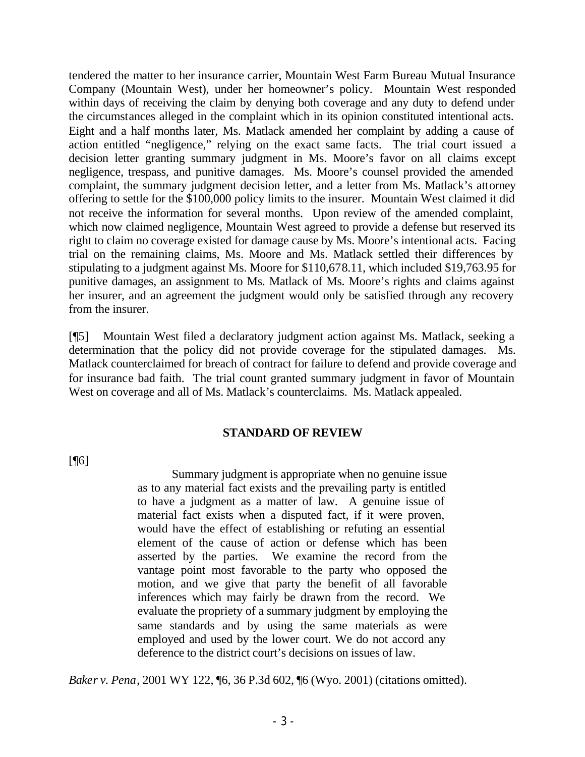tendered the matter to her insurance carrier, Mountain West Farm Bureau Mutual Insurance Company (Mountain West), under her homeowner's policy. Mountain West responded within days of receiving the claim by denying both coverage and any duty to defend under the circumstances alleged in the complaint which in its opinion constituted intentional acts. Eight and a half months later, Ms. Matlack amended her complaint by adding a cause of action entitled "negligence," relying on the exact same facts. The trial court issued a decision letter granting summary judgment in Ms. Moore's favor on all claims except negligence, trespass, and punitive damages. Ms. Moore's counsel provided the amended complaint, the summary judgment decision letter, and a letter from Ms. Matlack's attorney offering to settle for the \$100,000 policy limits to the insurer. Mountain West claimed it did not receive the information for several months. Upon review of the amended complaint, which now claimed negligence, Mountain West agreed to provide a defense but reserved its right to claim no coverage existed for damage cause by Ms. Moore's intentional acts. Facing trial on the remaining claims, Ms. Moore and Ms. Matlack settled their differences by stipulating to a judgment against Ms. Moore for \$110,678.11, which included \$19,763.95 for punitive damages, an assignment to Ms. Matlack of Ms. Moore's rights and claims against her insurer, and an agreement the judgment would only be satisfied through any recovery from the insurer.

[¶5] Mountain West filed a declaratory judgment action against Ms. Matlack, seeking a determination that the policy did not provide coverage for the stipulated damages. Ms. Matlack counterclaimed for breach of contract for failure to defend and provide coverage and for insurance bad faith. The trial count granted summary judgment in favor of Mountain West on coverage and all of Ms. Matlack's counterclaims. Ms. Matlack appealed.

## **STANDARD OF REVIEW**

 $[$ [ $\lceil$ 

Summary judgment is appropriate when no genuine issue as to any material fact exists and the prevailing party is entitled to have a judgment as a matter of law. A genuine issue of material fact exists when a disputed fact, if it were proven, would have the effect of establishing or refuting an essential element of the cause of action or defense which has been asserted by the parties. We examine the record from the vantage point most favorable to the party who opposed the motion, and we give that party the benefit of all favorable inferences which may fairly be drawn from the record. We evaluate the propriety of a summary judgment by employing the same standards and by using the same materials as were employed and used by the lower court. We do not accord any deference to the district court's decisions on issues of law.

*Baker v. Pena*, 2001 WY 122, ¶6, 36 P.3d 602, ¶6 (Wyo. 2001) (citations omitted).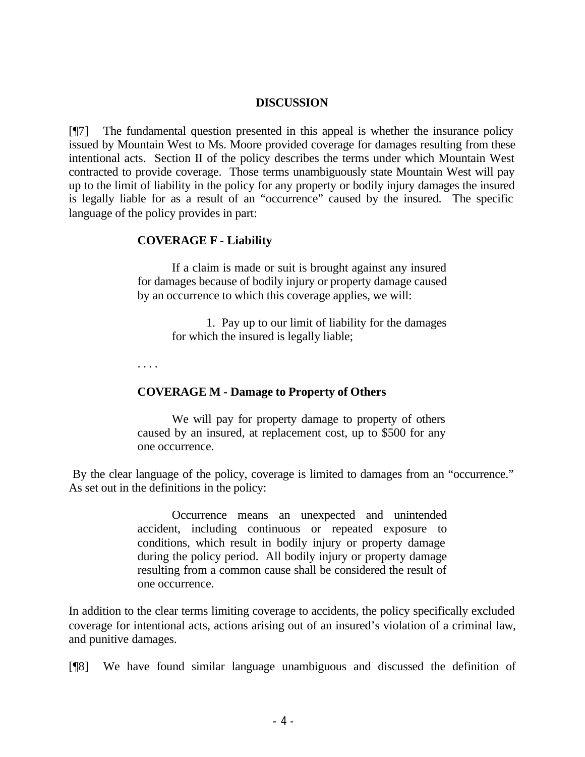#### **DISCUSSION**

[¶7] The fundamental question presented in this appeal is whether the insurance policy issued by Mountain West to Ms. Moore provided coverage for damages resulting from these intentional acts. Section II of the policy describes the terms under which Mountain West contracted to provide coverage. Those terms unambiguously state Mountain West will pay up to the limit of liability in the policy for any property or bodily injury damages the insured is legally liable for as a result of an "occurrence" caused by the insured. The specific language of the policy provides in part:

## **COVERAGE F - Liability**

If a claim is made or suit is brought against any insured for damages because of bodily injury or property damage caused by an occurrence to which this coverage applies, we will:

> 1. Pay up to our limit of liability for the damages for which the insured is legally liable;

. . . .

#### **COVERAGE M - Damage to Property of Others**

We will pay for property damage to property of others caused by an insured, at replacement cost, up to \$500 for any one occurrence.

By the clear language of the policy, coverage is limited to damages from an "occurrence." As set out in the definitions in the policy:

> Occurrence means an unexpected and unintended accident, including continuous or repeated exposure to conditions, which result in bodily injury or property damage during the policy period. All bodily injury or property damage resulting from a common cause shall be considered the result of one occurrence.

In addition to the clear terms limiting coverage to accidents, the policy specifically excluded coverage for intentional acts, actions arising out of an insured's violation of a criminal law, and punitive damages.

[¶8] We have found similar language unambiguous and discussed the definition of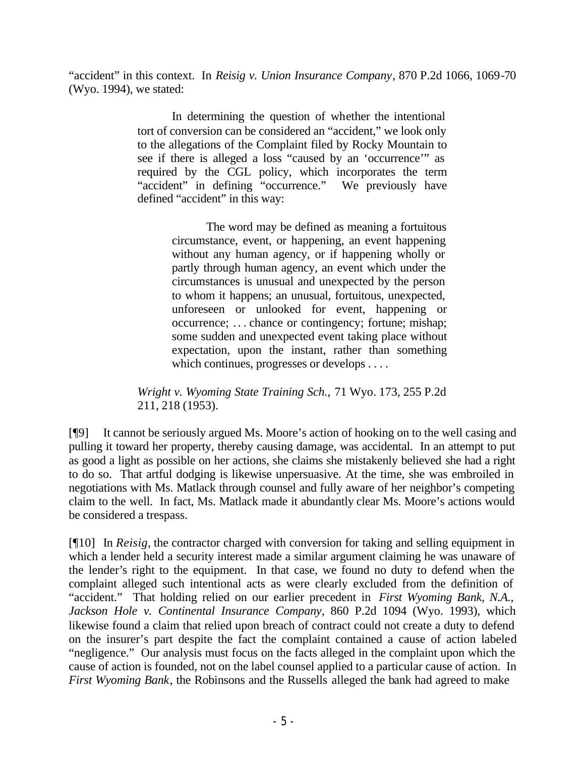"accident" in this context. In *Reisig v. Union Insurance Company*, 870 P.2d 1066, 1069-70 (Wyo. 1994), we stated:

> In determining the question of whether the intentional tort of conversion can be considered an "accident," we look only to the allegations of the Complaint filed by Rocky Mountain to see if there is alleged a loss "caused by an 'occurrence'" as required by the CGL policy, which incorporates the term "accident" in defining "occurrence." We previously have defined "accident" in this way:

> > The word may be defined as meaning a fortuitous circumstance, event, or happening, an event happening without any human agency, or if happening wholly or partly through human agency, an event which under the circumstances is unusual and unexpected by the person to whom it happens; an unusual, fortuitous, unexpected, unforeseen or unlooked for event, happening or occurrence; .. . chance or contingency; fortune; mishap; some sudden and unexpected event taking place without expectation, upon the instant, rather than something which continues, progresses or develops . . . .

*Wright v. Wyoming State Training Sch.,* 71 Wyo. 173, 255 P.2d 211, 218 (1953).

[¶9] It cannot be seriously argued Ms. Moore's action of hooking on to the well casing and pulling it toward her property, thereby causing damage, was accidental. In an attempt to put as good a light as possible on her actions, she claims she mistakenly believed she had a right to do so. That artful dodging is likewise unpersuasive. At the time, she was embroiled in negotiations with Ms. Matlack through counsel and fully aware of her neighbor's competing claim to the well. In fact, Ms. Matlack made it abundantly clear Ms. Moore's actions would be considered a trespass.

[¶10] In *Reisig,* the contractor charged with conversion for taking and selling equipment in which a lender held a security interest made a similar argument claiming he was unaware of the lender's right to the equipment. In that case, we found no duty to defend when the complaint alleged such intentional acts as were clearly excluded from the definition of "accident." That holding relied on our earlier precedent in *First Wyoming Bank, N.A., Jackson Hole v. Continental Insurance Company*, 860 P.2d 1094 (Wyo. 1993), which likewise found a claim that relied upon breach of contract could not create a duty to defend on the insurer's part despite the fact the complaint contained a cause of action labeled "negligence." Our analysis must focus on the facts alleged in the complaint upon which the cause of action is founded, not on the label counsel applied to a particular cause of action. In *First Wyoming Bank*, the Robinsons and the Russells alleged the bank had agreed to make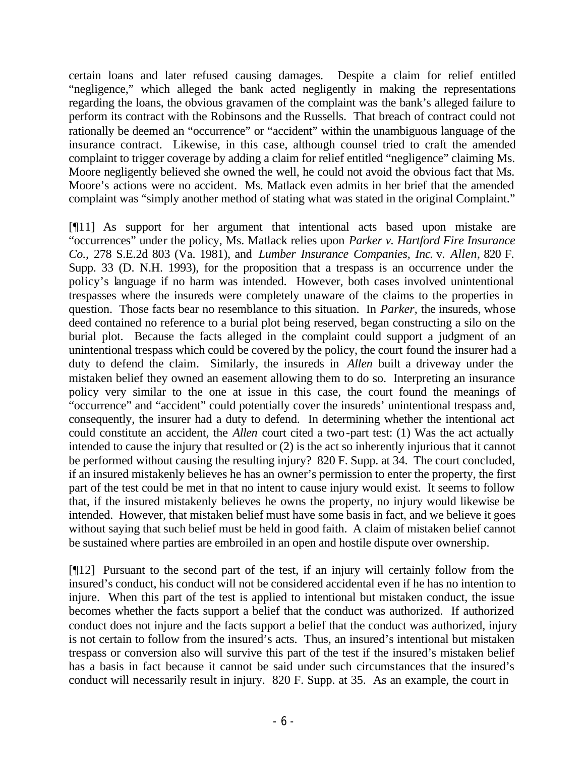certain loans and later refused causing damages. Despite a claim for relief entitled "negligence," which alleged the bank acted negligently in making the representations regarding the loans, the obvious gravamen of the complaint was the bank's alleged failure to perform its contract with the Robinsons and the Russells. That breach of contract could not rationally be deemed an "occurrence" or "accident" within the unambiguous language of the insurance contract. Likewise, in this case, although counsel tried to craft the amended complaint to trigger coverage by adding a claim for relief entitled "negligence" claiming Ms. Moore negligently believed she owned the well, he could not avoid the obvious fact that Ms. Moore's actions were no accident. Ms. Matlack even admits in her brief that the amended complaint was "simply another method of stating what was stated in the original Complaint."

[¶11] As support for her argument that intentional acts based upon mistake are "occurrences" under the policy, Ms. Matlack relies upon *Parker v. Hartford Fire Insurance Co.,* 278 S.E.2d 803 (Va. 1981), and *Lumber Insurance Companies, Inc*. v. *Allen*, 820 F. Supp. 33 (D. N.H. 1993), for the proposition that a trespass is an occurrence under the policy's language if no harm was intended. However, both cases involved unintentional trespasses where the insureds were completely unaware of the claims to the properties in question. Those facts bear no resemblance to this situation. In *Parker,* the insureds, whose deed contained no reference to a burial plot being reserved, began constructing a silo on the burial plot. Because the facts alleged in the complaint could support a judgment of an unintentional trespass which could be covered by the policy, the court found the insurer had a duty to defend the claim. Similarly, the insureds in *Allen* built a driveway under the mistaken belief they owned an easement allowing them to do so. Interpreting an insurance policy very similar to the one at issue in this case, the court found the meanings of "occurrence" and "accident" could potentially cover the insureds' unintentional trespass and, consequently, the insurer had a duty to defend. In determining whether the intentional act could constitute an accident, the *Allen* court cited a two-part test: (1) Was the act actually intended to cause the injury that resulted or (2) is the act so inherently injurious that it cannot be performed without causing the resulting injury? 820 F. Supp. at 34. The court concluded, if an insured mistakenly believes he has an owner's permission to enter the property, the first part of the test could be met in that no intent to cause injury would exist. It seems to follow that, if the insured mistakenly believes he owns the property, no injury would likewise be intended. However, that mistaken belief must have some basis in fact, and we believe it goes without saying that such belief must be held in good faith. A claim of mistaken belief cannot be sustained where parties are embroiled in an open and hostile dispute over ownership.

[¶12] Pursuant to the second part of the test, if an injury will certainly follow from the insured's conduct, his conduct will not be considered accidental even if he has no intention to injure. When this part of the test is applied to intentional but mistaken conduct, the issue becomes whether the facts support a belief that the conduct was authorized. If authorized conduct does not injure and the facts support a belief that the conduct was authorized, injury is not certain to follow from the insured's acts. Thus, an insured's intentional but mistaken trespass or conversion also will survive this part of the test if the insured's mistaken belief has a basis in fact because it cannot be said under such circumstances that the insured's conduct will necessarily result in injury. 820 F. Supp. at 35. As an example, the court in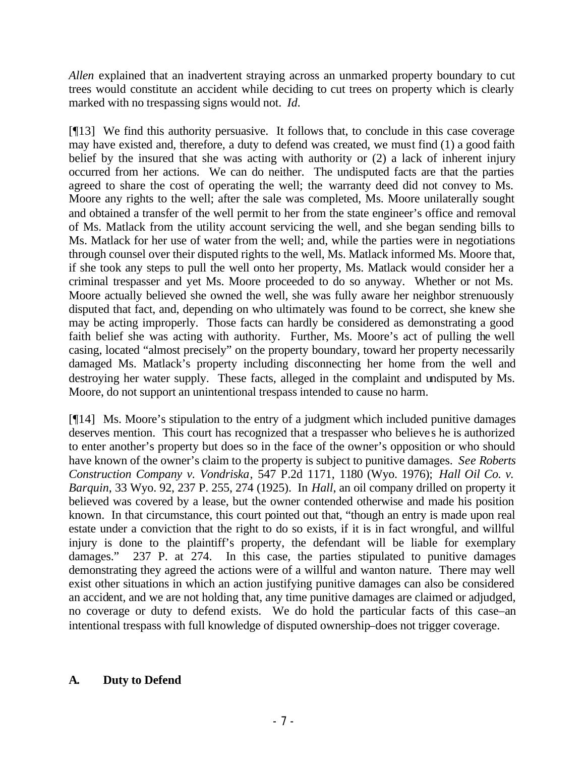*Allen* explained that an inadvertent straying across an unmarked property boundary to cut trees would constitute an accident while deciding to cut trees on property which is clearly marked with no trespassing signs would not. *Id.*

[¶13] We find this authority persuasive. It follows that, to conclude in this case coverage may have existed and, therefore, a duty to defend was created, we must find (1) a good faith belief by the insured that she was acting with authority or (2) a lack of inherent injury occurred from her actions. We can do neither. The undisputed facts are that the parties agreed to share the cost of operating the well; the warranty deed did not convey to Ms. Moore any rights to the well; after the sale was completed, Ms. Moore unilaterally sought and obtained a transfer of the well permit to her from the state engineer's office and removal of Ms. Matlack from the utility account servicing the well, and she began sending bills to Ms. Matlack for her use of water from the well; and, while the parties were in negotiations through counsel over their disputed rights to the well, Ms. Matlack informed Ms. Moore that, if she took any steps to pull the well onto her property, Ms. Matlack would consider her a criminal trespasser and yet Ms. Moore proceeded to do so anyway. Whether or not Ms. Moore actually believed she owned the well, she was fully aware her neighbor strenuously disputed that fact, and, depending on who ultimately was found to be correct, she knew she may be acting improperly. Those facts can hardly be considered as demonstrating a good faith belief she was acting with authority. Further, Ms. Moore's act of pulling the well casing, located "almost precisely" on the property boundary, toward her property necessarily damaged Ms. Matlack's property including disconnecting her home from the well and destroying her water supply. These facts, alleged in the complaint and undisputed by Ms. Moore, do not support an unintentional trespass intended to cause no harm.

[¶14] Ms. Moore's stipulation to the entry of a judgment which included punitive damages deserves mention. This court has recognized that a trespasser who believes he is authorized to enter another's property but does so in the face of the owner's opposition or who should have known of the owner's claim to the property is subject to punitive damages. *See Roberts Construction Company v. Vondriska*, 547 P.2d 1171, 1180 (Wyo. 1976); *Hall Oil Co. v. Barquin*, 33 Wyo. 92, 237 P. 255, 274 (1925). In *Hall*, an oil company drilled on property it believed was covered by a lease, but the owner contended otherwise and made his position known. In that circumstance, this court pointed out that, "though an entry is made upon real estate under a conviction that the right to do so exists, if it is in fact wrongful, and willful injury is done to the plaintiff's property, the defendant will be liable for exemplary damages." 237 P. at 274. In this case, the parties stipulated to punitive damages demonstrating they agreed the actions were of a willful and wanton nature. There may well exist other situations in which an action justifying punitive damages can also be considered an accident, and we are not holding that, any time punitive damages are claimed or adjudged, no coverage or duty to defend exists. We do hold the particular facts of this case–an intentional trespass with full knowledge of disputed ownership–does not trigger coverage.

## **A. Duty to Defend**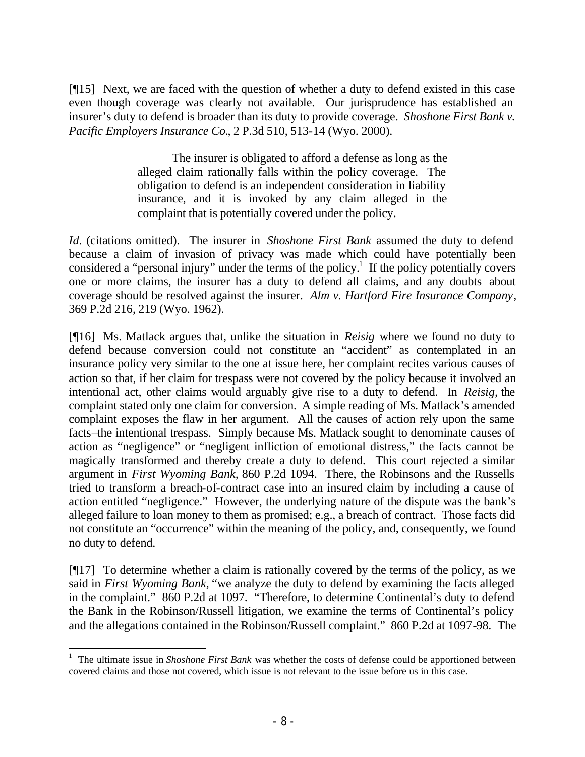[¶15] Next, we are faced with the question of whether a duty to defend existed in this case even though coverage was clearly not available. Our jurisprudence has established an insurer's duty to defend is broader than its duty to provide coverage. *Shoshone First Bank v. Pacific Employers Insurance Co.*, 2 P.3d 510, 513-14 (Wyo. 2000).

> The insurer is obligated to afford a defense as long as the alleged claim rationally falls within the policy coverage. The obligation to defend is an independent consideration in liability insurance, and it is invoked by any claim alleged in the complaint that is potentially covered under the policy.

*Id.* (citations omitted). The insurer in *Shoshone First Bank* assumed the duty to defend because a claim of invasion of privacy was made which could have potentially been considered a "personal injury" under the terms of the policy.<sup>1</sup> If the policy potentially covers one or more claims, the insurer has a duty to defend all claims, and any doubts about coverage should be resolved against the insurer. *Alm v. Hartford Fire Insurance Company*, 369 P.2d 216, 219 (Wyo. 1962).

[¶16] Ms. Matlack argues that, unlike the situation in *Reisig* where we found no duty to defend because conversion could not constitute an "accident" as contemplated in an insurance policy very similar to the one at issue here, her complaint recites various causes of action so that, if her claim for trespass were not covered by the policy because it involved an intentional act, other claims would arguably give rise to a duty to defend. In *Reisig,* the complaint stated only one claim for conversion. A simple reading of Ms. Matlack's amended complaint exposes the flaw in her argument. All the causes of action rely upon the same facts–the intentional trespass. Simply because Ms. Matlack sought to denominate causes of action as "negligence" or "negligent infliction of emotional distress," the facts cannot be magically transformed and thereby create a duty to defend. This court rejected a similar argument in *First Wyoming Bank,* 860 P.2d 1094. There, the Robinsons and the Russells tried to transform a breach-of-contract case into an insured claim by including a cause of action entitled "negligence." However, the underlying nature of the dispute was the bank's alleged failure to loan money to them as promised; e.g., a breach of contract. Those facts did not constitute an "occurrence" within the meaning of the policy, and, consequently, we found no duty to defend.

 $[917]$  To determine whether a claim is rationally covered by the terms of the policy, as we said in *First Wyoming Bank,* "we analyze the duty to defend by examining the facts alleged in the complaint." 860 P.2d at 1097. "Therefore, to determine Continental's duty to defend the Bank in the Robinson/Russell litigation, we examine the terms of Continental's policy and the allegations contained in the Robinson/Russell complaint." 860 P.2d at 1097-98. The

<sup>&</sup>lt;sup>1</sup> The ultimate issue in *Shoshone First Bank* was whether the costs of defense could be apportioned between covered claims and those not covered, which issue is not relevant to the issue before us in this case.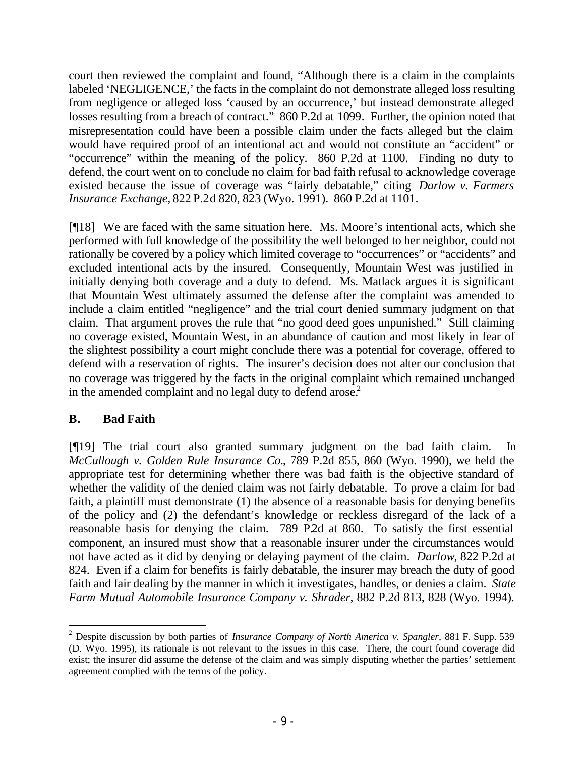court then reviewed the complaint and found, "Although there is a claim in the complaints labeled 'NEGLIGENCE,' the facts in the complaint do not demonstrate alleged loss resulting from negligence or alleged loss 'caused by an occurrence,' but instead demonstrate alleged losses resulting from a breach of contract." 860 P.2d at 1099. Further, the opinion noted that misrepresentation could have been a possible claim under the facts alleged but the claim would have required proof of an intentional act and would not constitute an "accident" or "occurrence" within the meaning of the policy. 860 P.2d at 1100. Finding no duty to defend, the court went on to conclude no claim for bad faith refusal to acknowledge coverage existed because the issue of coverage was "fairly debatable," citing *Darlow v. Farmers Insurance Exchange*, 822 P.2d 820, 823 (Wyo. 1991). 860 P.2d at 1101.

[¶18] We are faced with the same situation here. Ms. Moore's intentional acts, which she performed with full knowledge of the possibility the well belonged to her neighbor, could not rationally be covered by a policy which limited coverage to "occurrences" or "accidents" and excluded intentional acts by the insured. Consequently, Mountain West was justified in initially denying both coverage and a duty to defend. Ms. Matlack argues it is significant that Mountain West ultimately assumed the defense after the complaint was amended to include a claim entitled "negligence" and the trial court denied summary judgment on that claim. That argument proves the rule that "no good deed goes unpunished." Still claiming no coverage existed, Mountain West, in an abundance of caution and most likely in fear of the slightest possibility a court might conclude there was a potential for coverage, offered to defend with a reservation of rights. The insurer's decision does not alter our conclusion that no coverage was triggered by the facts in the original complaint which remained unchanged in the amended complaint and no legal duty to defend arose.<sup>2</sup>

## **B. Bad Faith**

[¶19] The trial court also granted summary judgment on the bad faith claim.In *McCullough v. Golden Rule Insurance Co.*, 789 P.2d 855, 860 (Wyo. 1990), we held the appropriate test for determining whether there was bad faith is the objective standard of whether the validity of the denied claim was not fairly debatable. To prove a claim for bad faith, a plaintiff must demonstrate (1) the absence of a reasonable basis for denying benefits of the policy and (2) the defendant's knowledge or reckless disregard of the lack of a reasonable basis for denying the claim. 789 P.2d at 860. To satisfy the first essential component, an insured must show that a reasonable insurer under the circumstances would not have acted as it did by denying or delaying payment of the claim. *Darlow*, 822 P.2d at 824. Even if a claim for benefits is fairly debatable, the insurer may breach the duty of good faith and fair dealing by the manner in which it investigates, handles, or denies a claim. *State Farm Mutual Automobile Insurance Company v. Shrader*, 882 P.2d 813, 828 (Wyo. 1994).

<sup>2</sup> Despite discussion by both parties of *Insurance Company of North America v. Spangler,* 881 F. Supp. 539 (D. Wyo. 1995), its rationale is not relevant to the issues in this case. There, the court found coverage did exist; the insurer did assume the defense of the claim and was simply disputing whether the parties' settlement agreement complied with the terms of the policy.